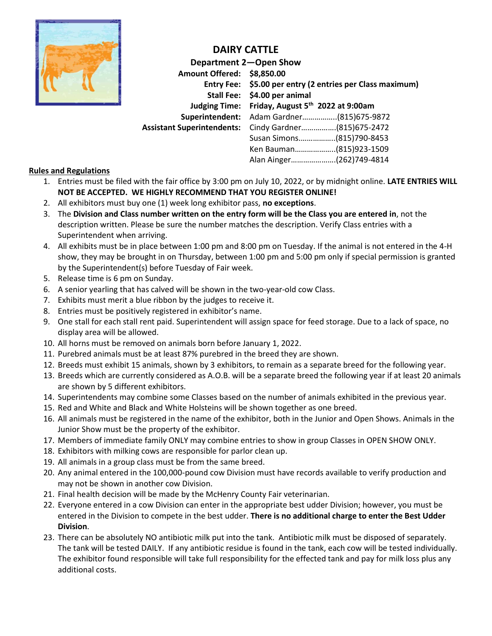

### **DAIRY CATTLE**

|                            | Department 2-Open Show                                    |
|----------------------------|-----------------------------------------------------------|
| Amount Offered: \$8,850.00 |                                                           |
|                            | Entry Fee: \$5.00 per entry (2 entries per Class maximum) |
|                            | Stall Fee: \$4.00 per animal                              |
|                            | Judging Time: Friday, August 5th 2022 at 9:00am           |
|                            | Superintendent: Adam Gardner(815)675-9872                 |
|                            | Assistant Superintendents: Cindy Gardner(815)675-2472     |
|                            | Susan Simons(815)790-8453                                 |
|                            | Ken Bauman(815)923-1509                                   |
|                            | Alan Ainger(262)749-4814                                  |

#### **Rules and Regulations**

- 1. Entries must be filed with the fair office by 3:00 pm on July 10, 2022, or by midnight online. **LATE ENTRIES WILL NOT BE ACCEPTED. WE HIGHLY RECOMMEND THAT YOU REGISTER ONLINE!**
- 2. All exhibitors must buy one (1) week long exhibitor pass, **no exceptions**.
- 3. The **Division and Class number written on the entry form will be the Class you are entered in**, not the description written. Please be sure the number matches the description. Verify Class entries with a Superintendent when arriving.
- 4. All exhibits must be in place between 1:00 pm and 8:00 pm on Tuesday. If the animal is not entered in the 4-H show, they may be brought in on Thursday, between 1:00 pm and 5:00 pm only if special permission is granted by the Superintendent(s) before Tuesday of Fair week.
- 5. Release time is 6 pm on Sunday.
- 6. A senior yearling that has calved will be shown in the two-year-old cow Class.
- 7. Exhibits must merit a blue ribbon by the judges to receive it.
- 8. Entries must be positively registered in exhibitor's name.
- 9. One stall for each stall rent paid. Superintendent will assign space for feed storage. Due to a lack of space, no display area will be allowed.
- 10. All horns must be removed on animals born before January 1, 2022.
- 11. Purebred animals must be at least 87% purebred in the breed they are shown.
- 12. Breeds must exhibit 15 animals, shown by 3 exhibitors, to remain as a separate breed for the following year.
- 13. Breeds which are currently considered as A.O.B. will be a separate breed the following year if at least 20 animals are shown by 5 different exhibitors.
- 14. Superintendents may combine some Classes based on the number of animals exhibited in the previous year.
- 15. Red and White and Black and White Holsteins will be shown together as one breed.
- 16. All animals must be registered in the name of the exhibitor, both in the Junior and Open Shows. Animals in the Junior Show must be the property of the exhibitor.
- 17. Members of immediate family ONLY may combine entries to show in group Classes in OPEN SHOW ONLY.
- 18. Exhibitors with milking cows are responsible for parlor clean up.
- 19. All animals in a group class must be from the same breed.
- 20. Any animal entered in the 100,000-pound cow Division must have records available to verify production and may not be shown in another cow Division.
- 21. Final health decision will be made by the McHenry County Fair veterinarian.
- 22. Everyone entered in a cow Division can enter in the appropriate best udder Division; however, you must be entered in the Division to compete in the best udder. **There is no additional charge to enter the Best Udder Division**.
- 23. There can be absolutely NO antibiotic milk put into the tank. Antibiotic milk must be disposed of separately. The tank will be tested DAILY. If any antibiotic residue is found in the tank, each cow will be tested individually. The exhibitor found responsible will take full responsibility for the effected tank and pay for milk loss plus any additional costs.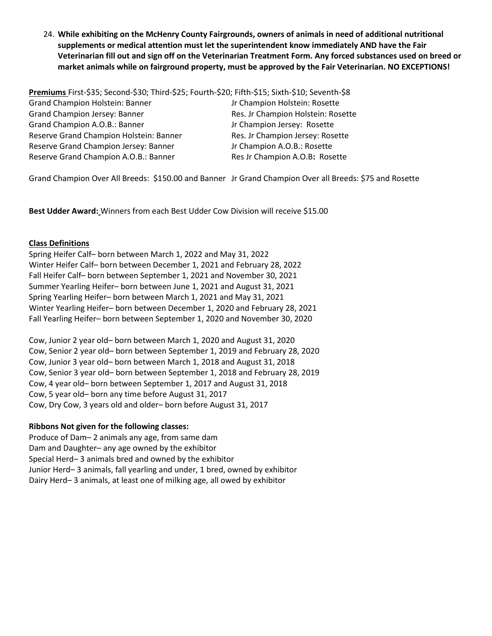24. **While exhibiting on the McHenry County Fairgrounds, owners of animals in need of additional nutritional supplements or medical attention must let the superintendent know immediately AND have the Fair Veterinarian fill out and sign off on the Veterinarian Treatment Form. Any forced substances used on breed or market animals while on fairground property, must be approved by the Fair Veterinarian. NO EXCEPTIONS!**

**Premiums** First-\$35; Second-\$30; Third-\$25; Fourth-\$20; Fifth-\$15; Sixth-\$10; Seventh-\$8 Grand Champion Holstein: Banner Jr Champion Holstein: Rosette Grand Champion Jersey: Banner Res. Jr Champion Holstein: Rosette Grand Champion A.O.B.: Banner Jr Champion Jersey: Rosette Reserve Grand Champion Holstein: Banner Res. Jr Champion Jersey: Rosette Reserve Grand Champion Jersey: Banner **Jreserve Grand Champion Jersey: Banner** Jreserve A.O.B.: Rosette Reserve Grand Champion A.O.B.: Banner Res Jr Champion A.O.B: Rosette

Grand Champion Over All Breeds: \$150.00 and Banner Jr Grand Champion Over all Breeds: \$75 and Rosette

**Best Udder Award:** Winners from each Best Udder Cow Division will receive \$15.00

#### **Class Definitions**

Spring Heifer Calf– born between March 1, 2022 and May 31, 2022 Winter Heifer Calf– born between December 1, 2021 and February 28, 2022 Fall Heifer Calf– born between September 1, 2021 and November 30, 2021 Summer Yearling Heifer– born between June 1, 2021 and August 31, 2021 Spring Yearling Heifer– born between March 1, 2021 and May 31, 2021 Winter Yearling Heifer– born between December 1, 2020 and February 28, 2021 Fall Yearling Heifer– born between September 1, 2020 and November 30, 2020

Cow, Junior 2 year old– born between March 1, 2020 and August 31, 2020 Cow, Senior 2 year old– born between September 1, 2019 and February 28, 2020 Cow, Junior 3 year old– born between March 1, 2018 and August 31, 2018 Cow, Senior 3 year old– born between September 1, 2018 and February 28, 2019 Cow, 4 year old– born between September 1, 2017 and August 31, 2018 Cow, 5 year old– born any time before August 31, 2017 Cow, Dry Cow, 3 years old and older– born before August 31, 2017

#### **Ribbons Not given for the following classes:**

Produce of Dam– 2 animals any age, from same dam Dam and Daughter– any age owned by the exhibitor Special Herd– 3 animals bred and owned by the exhibitor Junior Herd– 3 animals, fall yearling and under, 1 bred, owned by exhibitor Dairy Herd– 3 animals, at least one of milking age, all owed by exhibitor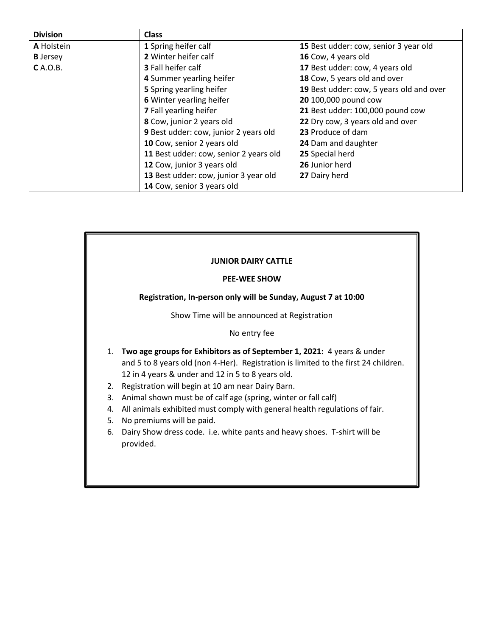| <b>Division</b> | <b>Class</b>                           |                                          |  |  |
|-----------------|----------------------------------------|------------------------------------------|--|--|
| A Holstein      | 1 Spring heifer calf                   | 15 Best udder: cow, senior 3 year old    |  |  |
| <b>B</b> Jersey | 2 Winter heifer calf                   | 16 Cow, 4 years old                      |  |  |
| <b>C</b> A.O.B. | <b>3</b> Fall heifer calf              | 17 Best udder: cow, 4 years old          |  |  |
|                 | 4 Summer yearling heifer               | 18 Cow, 5 years old and over             |  |  |
|                 | 5 Spring yearling heifer               | 19 Best udder: cow, 5 years old and over |  |  |
|                 | 6 Winter yearling heifer               | 20 100,000 pound cow                     |  |  |
|                 | 7 Fall yearling heifer                 | 21 Best udder: 100,000 pound cow         |  |  |
|                 | 8 Cow, junior 2 years old              | 22 Dry cow, 3 years old and over         |  |  |
|                 | 9 Best udder: cow, junior 2 years old  | 23 Produce of dam                        |  |  |
|                 | 10 Cow, senior 2 years old             | 24 Dam and daughter                      |  |  |
|                 | 11 Best udder: cow, senior 2 years old | 25 Special herd                          |  |  |
|                 | 12 Cow, junior 3 years old             | 26 Junior herd                           |  |  |
|                 | 13 Best udder: cow, junior 3 year old  | 27 Dairy herd                            |  |  |
|                 | 14 Cow, senior 3 years old             |                                          |  |  |

## **JUNIOR DAIRY CATTLE PEE-WEE SHOW Registration, In-person only will be Sunday, August 7 at 10:00** Show Time will be announced at Registration No entry fee 1. **Two age groups for Exhibitors as of September 1, 2021:** 4 years & under and 5 to 8 years old (non 4-Her). Registration is limited to the first 24 children. 12 in 4 years & under and 12 in 5 to 8 years old. 2. Registration will begin at 10 am near Dairy Barn. 3. Animal shown must be of calf age (spring, winter or fall calf) 4. All animals exhibited must comply with general health regulations of fair. 5. No premiums will be paid. 6. Dairy Show dress code. i.e. white pants and heavy shoes. T-shirt will be provided.